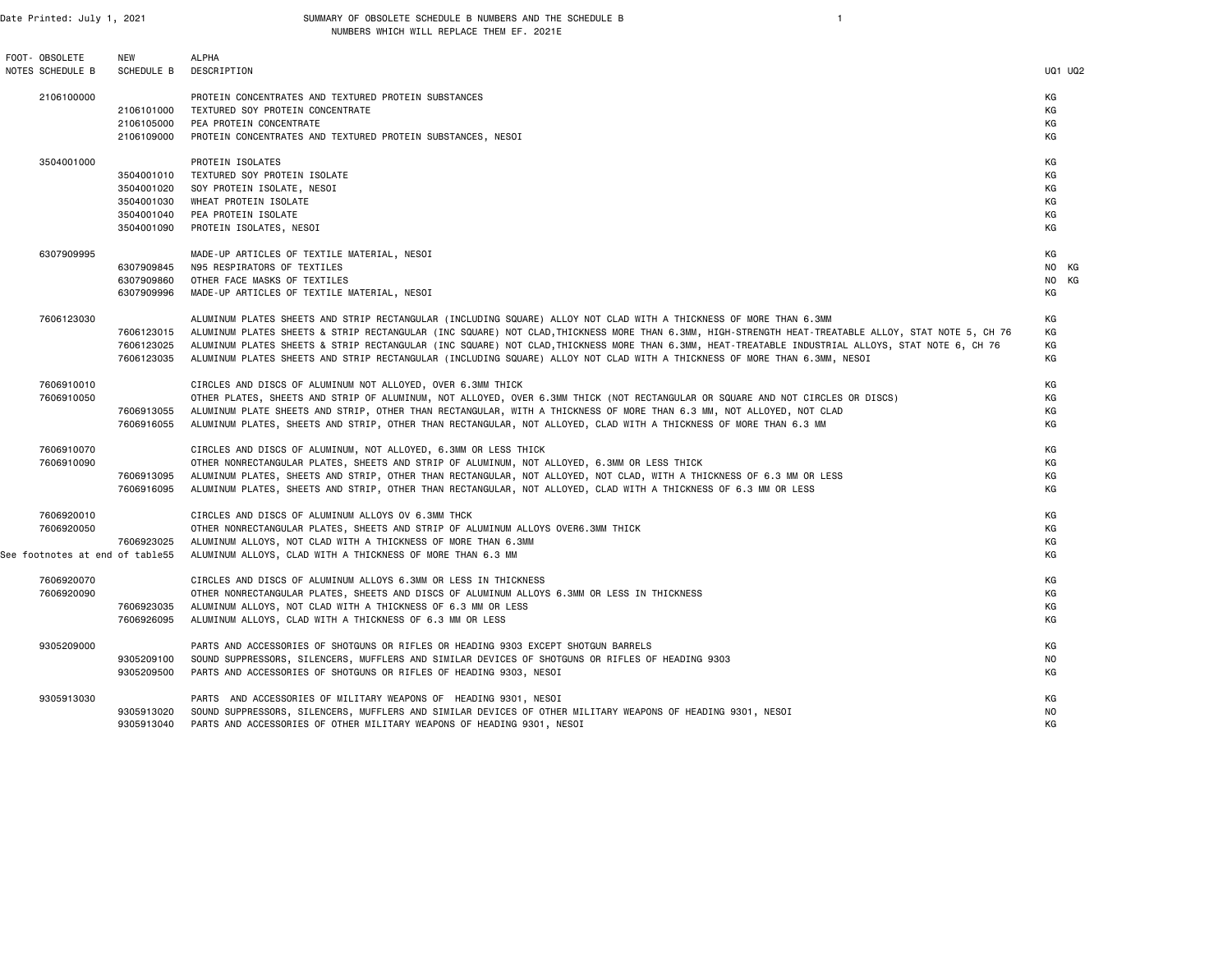| FOOT- OBSOLETE<br>NOTES SCHEDULE B                          | <b>NEW</b><br>SCHEDULE B                                           | <b>ALPHA</b><br>DESCRIPTION                                                                                                                                                                                                                                                                                                                                                                                                                                                                                                                               | <b>UQ1 UQ2</b>                   |  |
|-------------------------------------------------------------|--------------------------------------------------------------------|-----------------------------------------------------------------------------------------------------------------------------------------------------------------------------------------------------------------------------------------------------------------------------------------------------------------------------------------------------------------------------------------------------------------------------------------------------------------------------------------------------------------------------------------------------------|----------------------------------|--|
| 2106100000                                                  | 2106101000<br>2106105000<br>2106109000                             | PROTEIN CONCENTRATES AND TEXTURED PROTEIN SUBSTANCES<br>TEXTURED SOY PROTEIN CONCENTRATE<br>PEA PROTEIN CONCENTRATE<br>PROTEIN CONCENTRATES AND TEXTURED PROTEIN SUBSTANCES, NESOI                                                                                                                                                                                                                                                                                                                                                                        | КG<br>KG<br>КG<br>КG             |  |
| 3504001000                                                  | 3504001010<br>3504001020<br>3504001030<br>3504001040<br>3504001090 | PROTEIN ISOLATES<br>TEXTURED SOY PROTEIN ISOLATE<br>SOY PROTEIN ISOLATE, NESOI<br>WHEAT PROTEIN ISOLATE<br>PEA PROTEIN ISOLATE<br>PROTEIN ISOLATES, NESOI                                                                                                                                                                                                                                                                                                                                                                                                 | KG<br>КG<br>КG<br>КG<br>КG<br>KG |  |
| 6307909995                                                  | 6307909845<br>6307909860<br>6307909996                             | MADE-UP ARTICLES OF TEXTILE MATERIAL, NESOI<br>N95 RESPIRATORS OF TEXTILES<br>OTHER FACE MASKS OF TEXTILES<br>MADE-UP ARTICLES OF TEXTILE MATERIAL, NESOI                                                                                                                                                                                                                                                                                                                                                                                                 | КG<br>NO KG<br>NO KG<br>КG       |  |
| 7606123030                                                  | 7606123015<br>7606123025<br>7606123035                             | ALUMINUM PLATES SHEETS AND STRIP RECTANGULAR (INCLUDING SQUARE) ALLOY NOT CLAD WITH A THICKNESS OF MORE THAN 6.3MM<br>ALUMINUM PLATES SHEETS & STRIP RECTANGULAR (INC SQUARE) NOT CLAD,THICKNESS MORE THAN 6.3MM, HIGH-STRENGTH HEAT-TREATABLE ALLOY, STAT NOTE 5, CH 76<br>ALUMINUM PLATES SHEETS & STRIP RECTANGULAR (INC SQUARE) NOT CLAD,THICKNESS MORE THAN 6.3MM, HEAT-TREATABLE INDUSTRIAL ALLOYS, STAT NOTE 6, CH 76<br>ALUMINUM PLATES SHEETS AND STRIP RECTANGULAR (INCLUDING SQUARE) ALLOY NOT CLAD WITH A THICKNESS OF MORE THAN 6.3MM, NESOI | KG<br>КG<br>KG<br>КG             |  |
| 7606910010<br>7606910050                                    | 7606913055<br>7606916055                                           | CIRCLES AND DISCS OF ALUMINUM NOT ALLOYED, OVER 6.3MM THICK<br>OTHER PLATES, SHEETS AND STRIP OF ALUMINUM, NOT ALLOYED, OVER 6.3MM THICK (NOT RECTANGULAR OR SQUARE AND NOT CIRCLES OR DISCS)<br>ALUMINUM PLATE SHEETS AND STRIP, OTHER THAN RECTANGULAR, WITH A THICKNESS OF MORE THAN 6.3 MM, NOT ALLOYED, NOT CLAD<br>ALUMINUM PLATES, SHEETS AND STRIP, OTHER THAN RECTANGULAR, NOT ALLOYED, CLAD WITH A THICKNESS OF MORE THAN 6.3 MM                                                                                                                | KG<br>КG<br>КG<br>KG             |  |
| 7606910070<br>7606910090                                    | 7606913095<br>7606916095                                           | CIRCLES AND DISCS OF ALUMINUM, NOT ALLOYED, 6.3MM OR LESS THICK<br>OTHER NONRECTANGULAR PLATES, SHEETS AND STRIP OF ALUMINUM, NOT ALLOYED, 6.3MM OR LESS THICK<br>ALUMINUM PLATES, SHEETS AND STRIP, OTHER THAN RECTANGULAR, NOT ALLOYED, NOT CLAD, WITH A THICKNESS OF 6.3 MM OR LESS<br>ALUMINUM PLATES, SHEETS AND STRIP, OTHER THAN RECTANGULAR, NOT ALLOYED, CLAD WITH A THICKNESS OF 6.3 MM OR LESS                                                                                                                                                 | КG<br>КG<br>KG<br>КG             |  |
| 7606920010<br>7606920050<br>See footnotes at end of table55 | 7606923025                                                         | CIRCLES AND DISCS OF ALUMINUM ALLOYS OV 6.3MM THCK<br>OTHER NONRECTANGULAR PLATES, SHEETS AND STRIP OF ALUMINUM ALLOYS OVER6.3MM THICK<br>ALUMINUM ALLOYS, NOT CLAD WITH A THICKNESS OF MORE THAN 6.3MM<br>ALUMINUM ALLOYS, CLAD WITH A THICKNESS OF MORE THAN 6.3 MM                                                                                                                                                                                                                                                                                     | КG<br>КG<br>КG<br>КG             |  |
| 7606920070<br>7606920090                                    | 7606923035<br>7606926095                                           | CIRCLES AND DISCS OF ALUMINUM ALLOYS 6.3MM OR LESS IN THICKNESS<br>OTHER NONRECTANGULAR PLATES, SHEETS AND DISCS OF ALUMINUM ALLOYS 6.3MM OR LESS IN THICKNESS<br>ALUMINUM ALLOYS, NOT CLAD WITH A THICKNESS OF 6.3 MM OR LESS<br>ALUMINUM ALLOYS, CLAD WITH A THICKNESS OF 6.3 MM OR LESS                                                                                                                                                                                                                                                                | KG<br>КG<br>КG<br>КG             |  |
| 9305209000                                                  | 9305209100<br>9305209500                                           | PARTS AND ACCESSORIES OF SHOTGUNS OR RIFLES OR HEADING 9303 EXCEPT SHOTGUN BARRELS<br>SOUND SUPPRESSORS, SILENCERS, MUFFLERS AND SIMILAR DEVICES OF SHOTGUNS OR RIFLES OF HEADING 9303<br>PARTS AND ACCESSORIES OF SHOTGUNS OR RIFLES OF HEADING 9303, NESOI                                                                                                                                                                                                                                                                                              | КG<br>NO.<br>КG                  |  |
| 9305913030                                                  | 9305913020<br>9305913040                                           | PARTS AND ACCESSORIES OF MILITARY WEAPONS OF HEADING 9301, NESOI<br>SOUND SUPPRESSORS, SILENCERS, MUFFLERS AND SIMILAR DEVICES OF OTHER MILITARY WEAPONS OF HEADING 9301, NESOI<br>PARTS AND ACCESSORIES OF OTHER MILITARY WEAPONS OF HEADING 9301, NESOI                                                                                                                                                                                                                                                                                                 | КG<br>NO.<br>КG                  |  |